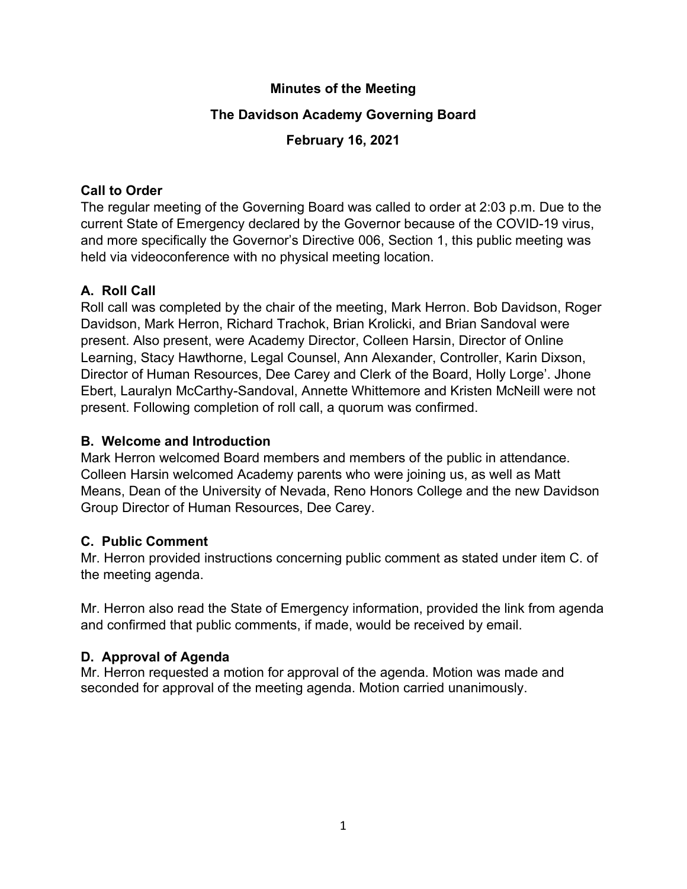### **Minutes of the Meeting**

## **The Davidson Academy Governing Board**

### **February 16, 2021**

### **Call to Order**

The regular meeting of the Governing Board was called to order at 2:03 p.m. Due to the current State of Emergency declared by the Governor because of the COVID-19 virus, and more specifically the Governor's Directive 006, Section 1, this public meeting was held via videoconference with no physical meeting location.

# **A. Roll Call**

Roll call was completed by the chair of the meeting, Mark Herron. Bob Davidson, Roger Davidson, Mark Herron, Richard Trachok, Brian Krolicki, and Brian Sandoval were present. Also present, were Academy Director, Colleen Harsin, Director of Online Learning, Stacy Hawthorne, Legal Counsel, Ann Alexander, Controller, Karin Dixson, Director of Human Resources, Dee Carey and Clerk of the Board, Holly Lorge'. Jhone Ebert, Lauralyn McCarthy-Sandoval, Annette Whittemore and Kristen McNeill were not present. Following completion of roll call, a quorum was confirmed.

## **B. Welcome and Introduction**

Mark Herron welcomed Board members and members of the public in attendance. Colleen Harsin welcomed Academy parents who were joining us, as well as Matt Means, Dean of the University of Nevada, Reno Honors College and the new Davidson Group Director of Human Resources, Dee Carey.

# **C. Public Comment**

Mr. Herron provided instructions concerning public comment as stated under item C. of the meeting agenda.

Mr. Herron also read the State of Emergency information, provided the link from agenda and confirmed that public comments, if made, would be received by email.

# **D. Approval of Agenda**

Mr. Herron requested a motion for approval of the agenda. Motion was made and seconded for approval of the meeting agenda. Motion carried unanimously.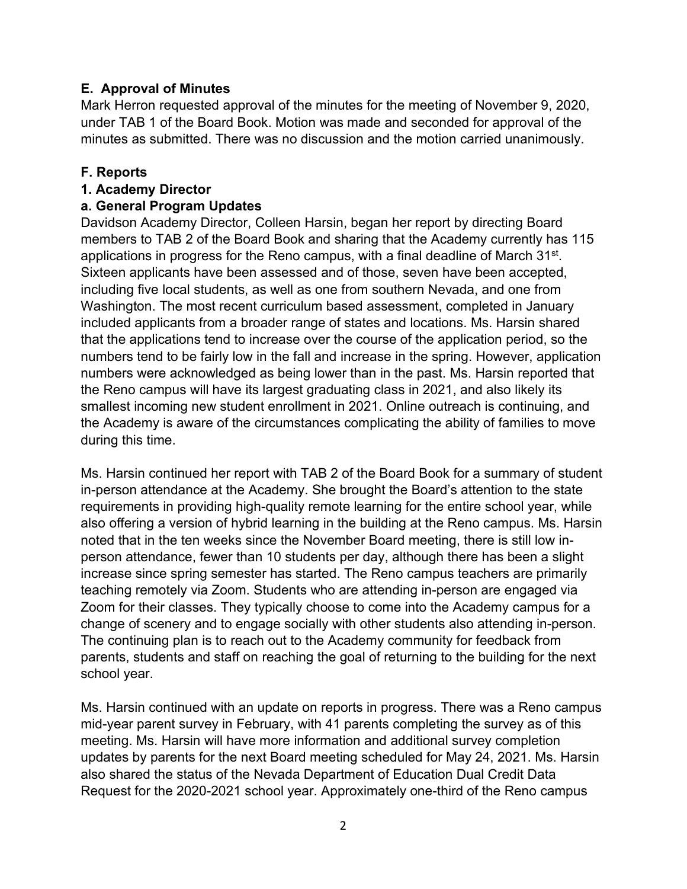### **E. Approval of Minutes**

Mark Herron requested approval of the minutes for the meeting of November 9, 2020, under TAB 1 of the Board Book. Motion was made and seconded for approval of the minutes as submitted. There was no discussion and the motion carried unanimously.

#### **F. Reports**

#### **1. Academy Director**

#### **a. General Program Updates**

Davidson Academy Director, Colleen Harsin, began her report by directing Board members to TAB 2 of the Board Book and sharing that the Academy currently has 115 applications in progress for the Reno campus, with a final deadline of March 31<sup>st</sup>. Sixteen applicants have been assessed and of those, seven have been accepted, including five local students, as well as one from southern Nevada, and one from Washington. The most recent curriculum based assessment, completed in January included applicants from a broader range of states and locations. Ms. Harsin shared that the applications tend to increase over the course of the application period, so the numbers tend to be fairly low in the fall and increase in the spring. However, application numbers were acknowledged as being lower than in the past. Ms. Harsin reported that the Reno campus will have its largest graduating class in 2021, and also likely its smallest incoming new student enrollment in 2021. Online outreach is continuing, and the Academy is aware of the circumstances complicating the ability of families to move during this time.

Ms. Harsin continued her report with TAB 2 of the Board Book for a summary of student in-person attendance at the Academy. She brought the Board's attention to the state requirements in providing high-quality remote learning for the entire school year, while also offering a version of hybrid learning in the building at the Reno campus. Ms. Harsin noted that in the ten weeks since the November Board meeting, there is still low inperson attendance, fewer than 10 students per day, although there has been a slight increase since spring semester has started. The Reno campus teachers are primarily teaching remotely via Zoom. Students who are attending in-person are engaged via Zoom for their classes. They typically choose to come into the Academy campus for a change of scenery and to engage socially with other students also attending in-person. The continuing plan is to reach out to the Academy community for feedback from parents, students and staff on reaching the goal of returning to the building for the next school year.

Ms. Harsin continued with an update on reports in progress. There was a Reno campus mid-year parent survey in February, with 41 parents completing the survey as of this meeting. Ms. Harsin will have more information and additional survey completion updates by parents for the next Board meeting scheduled for May 24, 2021. Ms. Harsin also shared the status of the Nevada Department of Education Dual Credit Data Request for the 2020-2021 school year. Approximately one-third of the Reno campus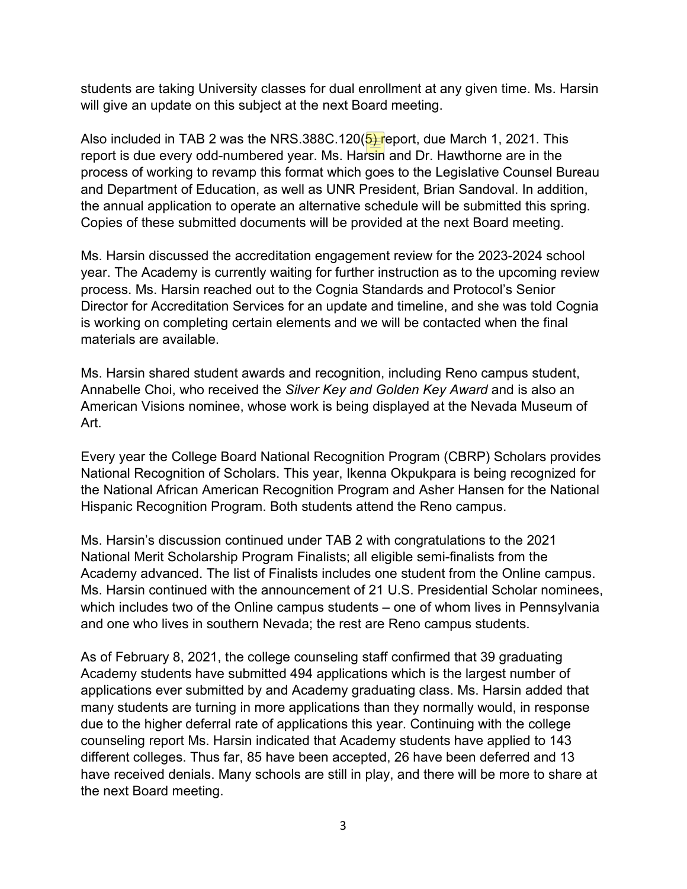students are taking University classes for dual enrollment at any given time. Ms. Harsin will give an update on this subject at the next Board meeting.

Also included in TAB 2 was the NRS.388C.120( $5$ ) report, due March 1, 2021. This report is due every odd-numbered year. Ms. Harsin and Dr. Hawthorne are in the process of working to revamp this format which goes to the Legislative Counsel Bureau and Department of Education, as well as UNR President, Brian Sandoval. In addition, the annual application to operate an alternative schedule will be submitted this spring. Copies of these submitted documents will be provided at the next Board meeting.

Ms. Harsin discussed the accreditation engagement review for the 2023-2024 school year. The Academy is currently waiting for further instruction as to the upcoming review process. Ms. Harsin reached out to the Cognia Standards and Protocol's Senior Director for Accreditation Services for an update and timeline, and she was told Cognia is working on completing certain elements and we will be contacted when the final materials are available.

Ms. Harsin shared student awards and recognition, including Reno campus student, Annabelle Choi, who received the *Silver Key and Golden Key Award* and is also an American Visions nominee, whose work is being displayed at the Nevada Museum of Art.

Every year the College Board National Recognition Program (CBRP) Scholars provides National Recognition of Scholars. This year, Ikenna Okpukpara is being recognized for the National African American Recognition Program and Asher Hansen for the National Hispanic Recognition Program. Both students attend the Reno campus.

Ms. Harsin's discussion continued under TAB 2 with congratulations to the 2021 National Merit Scholarship Program Finalists; all eligible semi-finalists from the Academy advanced. The list of Finalists includes one student from the Online campus. Ms. Harsin continued with the announcement of 21 U.S. Presidential Scholar nominees, which includes two of the Online campus students – one of whom lives in Pennsylvania and one who lives in southern Nevada; the rest are Reno campus students.

As of February 8, 2021, the college counseling staff confirmed that 39 graduating Academy students have submitted 494 applications which is the largest number of applications ever submitted by and Academy graduating class. Ms. Harsin added that many students are turning in more applications than they normally would, in response due to the higher deferral rate of applications this year. Continuing with the college counseling report Ms. Harsin indicated that Academy students have applied to 143 different colleges. Thus far, 85 have been accepted, 26 have been deferred and 13 have received denials. Many schools are still in play, and there will be more to share at the next Board meeting.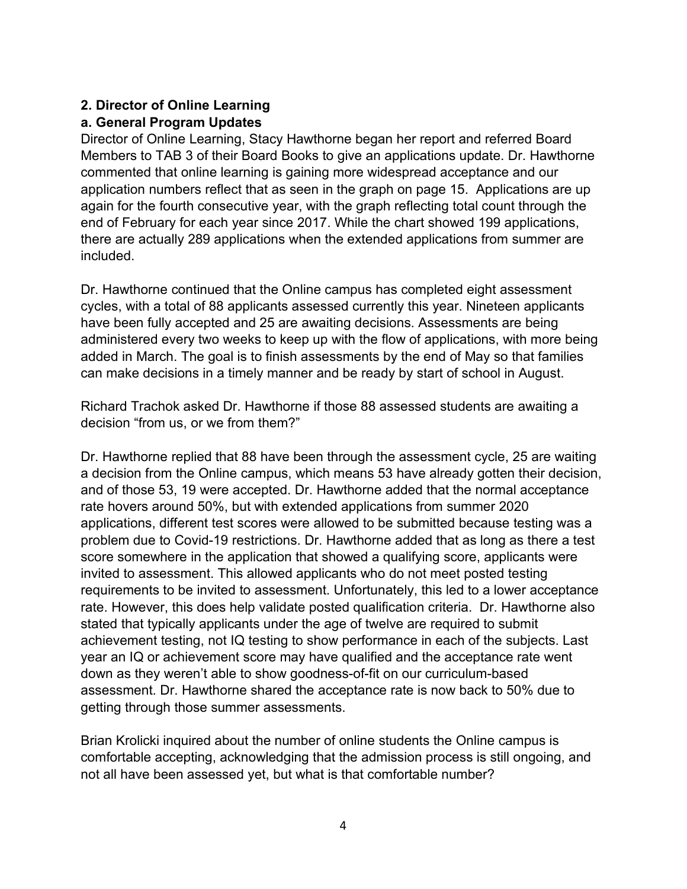## **2. Director of Online Learning**

## **a. General Program Updates**

Director of Online Learning, Stacy Hawthorne began her report and referred Board Members to TAB 3 of their Board Books to give an applications update. Dr. Hawthorne commented that online learning is gaining more widespread acceptance and our application numbers reflect that as seen in the graph on page 15. Applications are up again for the fourth consecutive year, with the graph reflecting total count through the end of February for each year since 2017. While the chart showed 199 applications, there are actually 289 applications when the extended applications from summer are included.

Dr. Hawthorne continued that the Online campus has completed eight assessment cycles, with a total of 88 applicants assessed currently this year. Nineteen applicants have been fully accepted and 25 are awaiting decisions. Assessments are being administered every two weeks to keep up with the flow of applications, with more being added in March. The goal is to finish assessments by the end of May so that families can make decisions in a timely manner and be ready by start of school in August.

Richard Trachok asked Dr. Hawthorne if those 88 assessed students are awaiting a decision "from us, or we from them?"

Dr. Hawthorne replied that 88 have been through the assessment cycle, 25 are waiting a decision from the Online campus, which means 53 have already gotten their decision, and of those 53, 19 were accepted. Dr. Hawthorne added that the normal acceptance rate hovers around 50%, but with extended applications from summer 2020 applications, different test scores were allowed to be submitted because testing was a problem due to Covid-19 restrictions. Dr. Hawthorne added that as long as there a test score somewhere in the application that showed a qualifying score, applicants were invited to assessment. This allowed applicants who do not meet posted testing requirements to be invited to assessment. Unfortunately, this led to a lower acceptance rate. However, this does help validate posted qualification criteria. Dr. Hawthorne also stated that typically applicants under the age of twelve are required to submit achievement testing, not IQ testing to show performance in each of the subjects. Last year an IQ or achievement score may have qualified and the acceptance rate went down as they weren't able to show goodness-of-fit on our curriculum-based assessment. Dr. Hawthorne shared the acceptance rate is now back to 50% due to getting through those summer assessments.

Brian Krolicki inquired about the number of online students the Online campus is comfortable accepting, acknowledging that the admission process is still ongoing, and not all have been assessed yet, but what is that comfortable number?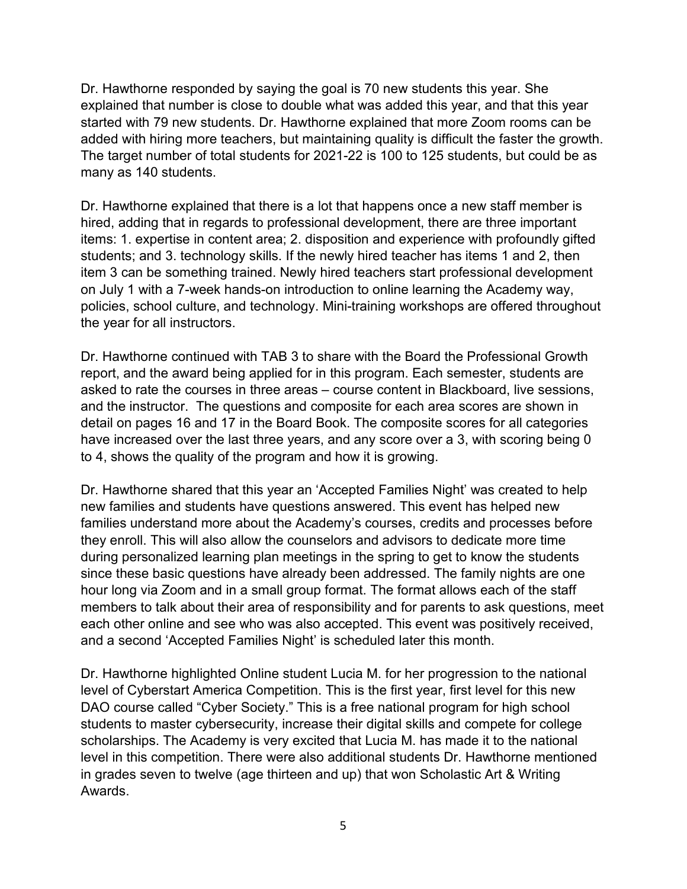Dr. Hawthorne responded by saying the goal is 70 new students this year. She explained that number is close to double what was added this year, and that this year started with 79 new students. Dr. Hawthorne explained that more Zoom rooms can be added with hiring more teachers, but maintaining quality is difficult the faster the growth. The target number of total students for 2021-22 is 100 to 125 students, but could be as many as 140 students.

Dr. Hawthorne explained that there is a lot that happens once a new staff member is hired, adding that in regards to professional development, there are three important items: 1. expertise in content area; 2. disposition and experience with profoundly gifted students; and 3. technology skills. If the newly hired teacher has items 1 and 2, then item 3 can be something trained. Newly hired teachers start professional development on July 1 with a 7-week hands-on introduction to online learning the Academy way, policies, school culture, and technology. Mini-training workshops are offered throughout the year for all instructors.

Dr. Hawthorne continued with TAB 3 to share with the Board the Professional Growth report, and the award being applied for in this program. Each semester, students are asked to rate the courses in three areas – course content in Blackboard, live sessions, and the instructor. The questions and composite for each area scores are shown in detail on pages 16 and 17 in the Board Book. The composite scores for all categories have increased over the last three years, and any score over a 3, with scoring being 0 to 4, shows the quality of the program and how it is growing.

Dr. Hawthorne shared that this year an 'Accepted Families Night' was created to help new families and students have questions answered. This event has helped new families understand more about the Academy's courses, credits and processes before they enroll. This will also allow the counselors and advisors to dedicate more time during personalized learning plan meetings in the spring to get to know the students since these basic questions have already been addressed. The family nights are one hour long via Zoom and in a small group format. The format allows each of the staff members to talk about their area of responsibility and for parents to ask questions, meet each other online and see who was also accepted. This event was positively received, and a second 'Accepted Families Night' is scheduled later this month.

Dr. Hawthorne highlighted Online student Lucia M. for her progression to the national level of Cyberstart America Competition. This is the first year, first level for this new DAO course called "Cyber Society." This is a free national program for high school students to master cybersecurity, increase their digital skills and compete for college scholarships. The Academy is very excited that Lucia M. has made it to the national level in this competition. There were also additional students Dr. Hawthorne mentioned in grades seven to twelve (age thirteen and up) that won Scholastic Art & Writing Awards.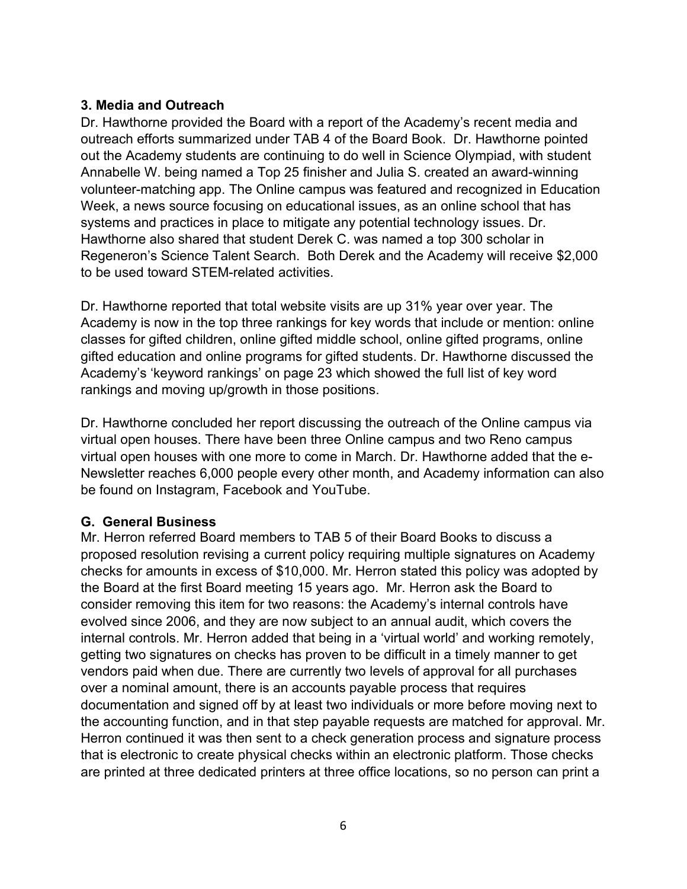### **3. Media and Outreach**

Dr. Hawthorne provided the Board with a report of the Academy's recent media and outreach efforts summarized under TAB 4 of the Board Book. Dr. Hawthorne pointed out the Academy students are continuing to do well in Science Olympiad, with student Annabelle W. being named a Top 25 finisher and Julia S. created an award-winning volunteer-matching app. The Online campus was featured and recognized in Education Week, a news source focusing on educational issues, as an online school that has systems and practices in place to mitigate any potential technology issues. Dr. Hawthorne also shared that student Derek C. was named a top 300 scholar in Regeneron's Science Talent Search. Both Derek and the Academy will receive \$2,000 to be used toward STEM-related activities.

Dr. Hawthorne reported that total website visits are up 31% year over year. The Academy is now in the top three rankings for key words that include or mention: online classes for gifted children, online gifted middle school, online gifted programs, online gifted education and online programs for gifted students. Dr. Hawthorne discussed the Academy's 'keyword rankings' on page 23 which showed the full list of key word rankings and moving up/growth in those positions.

Dr. Hawthorne concluded her report discussing the outreach of the Online campus via virtual open houses. There have been three Online campus and two Reno campus virtual open houses with one more to come in March. Dr. Hawthorne added that the e-Newsletter reaches 6,000 people every other month, and Academy information can also be found on Instagram, Facebook and YouTube.

### **G. General Business**

Mr. Herron referred Board members to TAB 5 of their Board Books to discuss a proposed resolution revising a current policy requiring multiple signatures on Academy checks for amounts in excess of \$10,000. Mr. Herron stated this policy was adopted by the Board at the first Board meeting 15 years ago. Mr. Herron ask the Board to consider removing this item for two reasons: the Academy's internal controls have evolved since 2006, and they are now subject to an annual audit, which covers the internal controls. Mr. Herron added that being in a 'virtual world' and working remotely, getting two signatures on checks has proven to be difficult in a timely manner to get vendors paid when due. There are currently two levels of approval for all purchases over a nominal amount, there is an accounts payable process that requires documentation and signed off by at least two individuals or more before moving next to the accounting function, and in that step payable requests are matched for approval. Mr. Herron continued it was then sent to a check generation process and signature process that is electronic to create physical checks within an electronic platform. Those checks are printed at three dedicated printers at three office locations, so no person can print a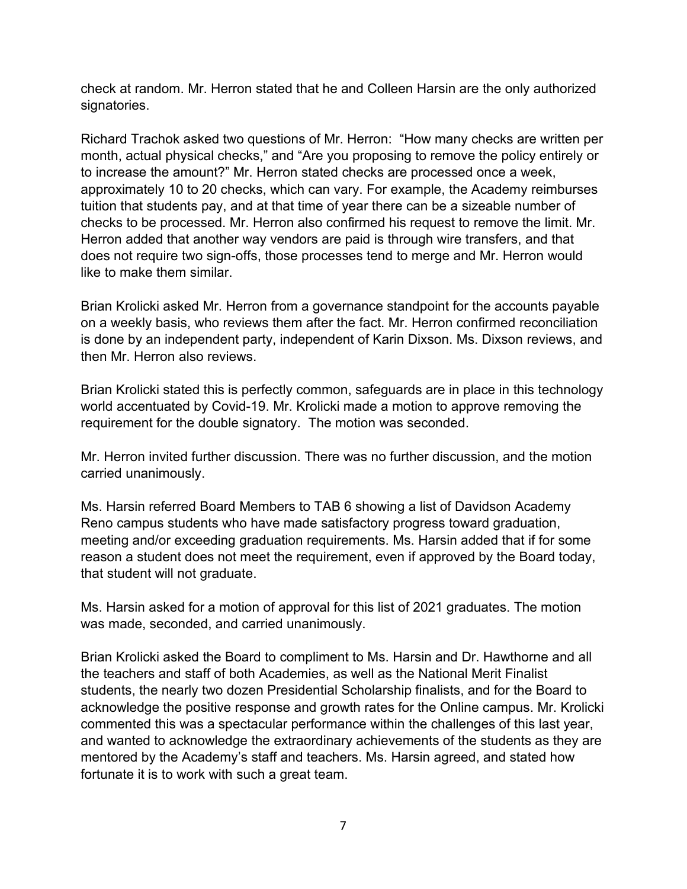check at random. Mr. Herron stated that he and Colleen Harsin are the only authorized signatories.

Richard Trachok asked two questions of Mr. Herron: "How many checks are written per month, actual physical checks," and "Are you proposing to remove the policy entirely or to increase the amount?" Mr. Herron stated checks are processed once a week, approximately 10 to 20 checks, which can vary. For example, the Academy reimburses tuition that students pay, and at that time of year there can be a sizeable number of checks to be processed. Mr. Herron also confirmed his request to remove the limit. Mr. Herron added that another way vendors are paid is through wire transfers, and that does not require two sign-offs, those processes tend to merge and Mr. Herron would like to make them similar.

Brian Krolicki asked Mr. Herron from a governance standpoint for the accounts payable on a weekly basis, who reviews them after the fact. Mr. Herron confirmed reconciliation is done by an independent party, independent of Karin Dixson. Ms. Dixson reviews, and then Mr. Herron also reviews.

Brian Krolicki stated this is perfectly common, safeguards are in place in this technology world accentuated by Covid-19. Mr. Krolicki made a motion to approve removing the requirement for the double signatory. The motion was seconded.

Mr. Herron invited further discussion. There was no further discussion, and the motion carried unanimously.

Ms. Harsin referred Board Members to TAB 6 showing a list of Davidson Academy Reno campus students who have made satisfactory progress toward graduation, meeting and/or exceeding graduation requirements. Ms. Harsin added that if for some reason a student does not meet the requirement, even if approved by the Board today, that student will not graduate.

Ms. Harsin asked for a motion of approval for this list of 2021 graduates. The motion was made, seconded, and carried unanimously.

Brian Krolicki asked the Board to compliment to Ms. Harsin and Dr. Hawthorne and all the teachers and staff of both Academies, as well as the National Merit Finalist students, the nearly two dozen Presidential Scholarship finalists, and for the Board to acknowledge the positive response and growth rates for the Online campus. Mr. Krolicki commented this was a spectacular performance within the challenges of this last year, and wanted to acknowledge the extraordinary achievements of the students as they are mentored by the Academy's staff and teachers. Ms. Harsin agreed, and stated how fortunate it is to work with such a great team.